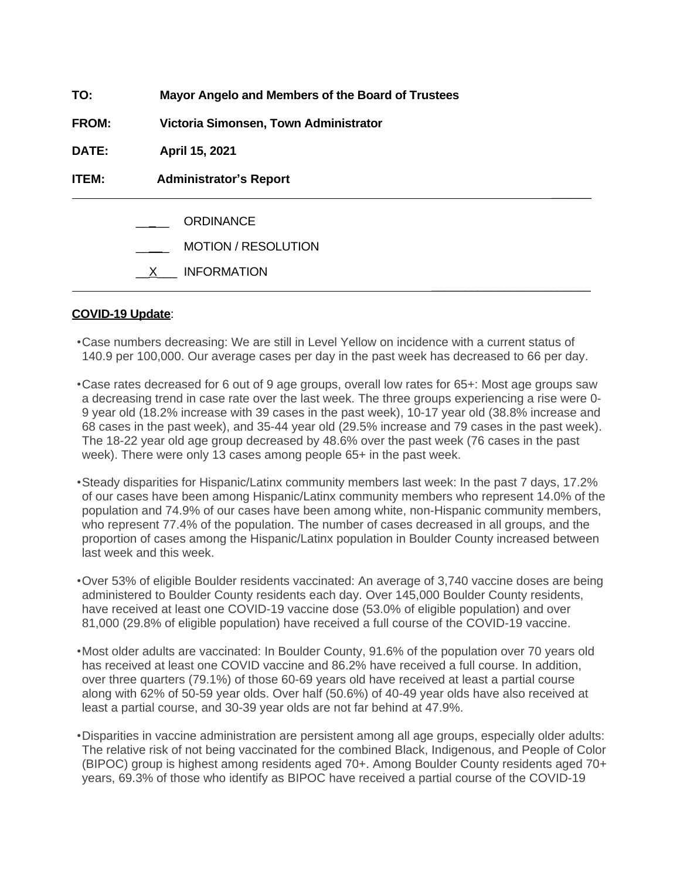| TO:          | Mayor Angelo and Members of the Board of Trustees                    |
|--------------|----------------------------------------------------------------------|
| <b>FROM:</b> | Victoria Simonsen, Town Administrator                                |
| DATE:        | April 15, 2021                                                       |
| <b>ITEM:</b> | <b>Administrator's Report</b>                                        |
|              | <b>ORDINANCE</b><br><b>MOTION / RESOLUTION</b><br><b>INFORMATION</b> |
|              |                                                                      |

#### **COVID-19 Update**:

- •Case numbers decreasing: We are still in Level Yellow on incidence with a current status of 140.9 per 100,000. Our average cases per day in the past week has decreased to 66 per day.
- •Case rates decreased for 6 out of 9 age groups, overall low rates for 65+: Most age groups saw a decreasing trend in case rate over the last week. The three groups experiencing a rise were 0- 9 year old (18.2% increase with 39 cases in the past week), 10-17 year old (38.8% increase and 68 cases in the past week), and 35-44 year old (29.5% increase and 79 cases in the past week). The 18-22 year old age group decreased by 48.6% over the past week (76 cases in the past week). There were only 13 cases among people 65+ in the past week.
- •Steady disparities for Hispanic/Latinx community members last week: In the past 7 days, 17.2% of our cases have been among Hispanic/Latinx community members who represent 14.0% of the population and 74.9% of our cases have been among white, non-Hispanic community members, who represent 77.4% of the population. The number of cases decreased in all groups, and the proportion of cases among the Hispanic/Latinx population in Boulder County increased between last week and this week.
- •Over 53% of eligible Boulder residents vaccinated: An average of 3,740 vaccine doses are being administered to Boulder County residents each day. Over 145,000 Boulder County residents, have received at least one COVID-19 vaccine dose (53.0% of eligible population) and over 81,000 (29.8% of eligible population) have received a full course of the COVID-19 vaccine.
- •Most older adults are vaccinated: In Boulder County, 91.6% of the population over 70 years old has received at least one COVID vaccine and 86.2% have received a full course. In addition, over three quarters (79.1%) of those 60-69 years old have received at least a partial course along with 62% of 50-59 year olds. Over half (50.6%) of 40-49 year olds have also received at least a partial course, and 30-39 year olds are not far behind at 47.9%.
- •Disparities in vaccine administration are persistent among all age groups, especially older adults: The relative risk of not being vaccinated for the combined Black, Indigenous, and People of Color (BIPOC) group is highest among residents aged 70+. Among Boulder County residents aged 70+ years, 69.3% of those who identify as BIPOC have received a partial course of the COVID-19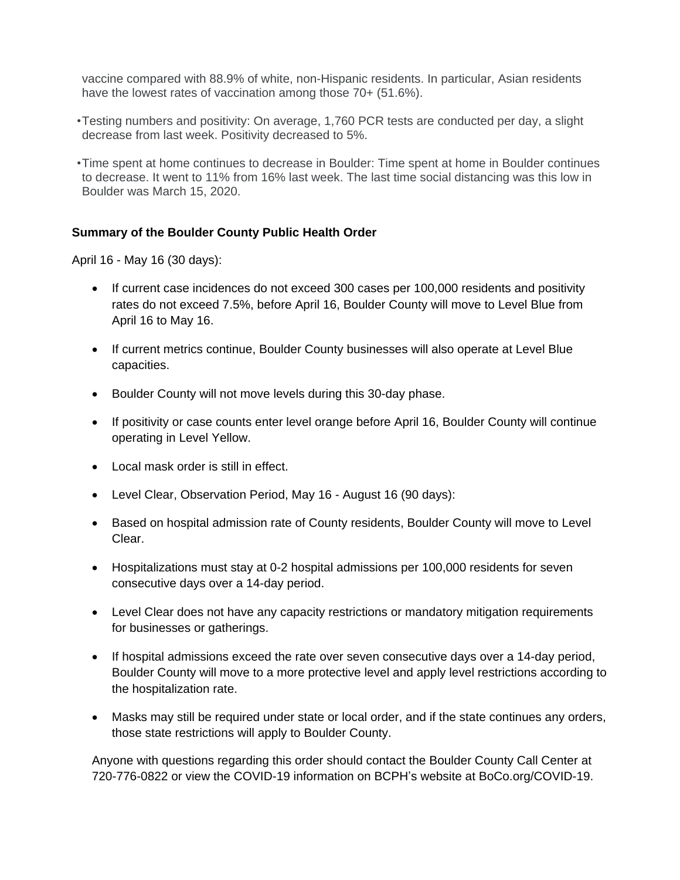vaccine compared with 88.9% of white, non-Hispanic residents. In particular, Asian residents have the lowest rates of vaccination among those 70+ (51.6%).

- •Testing numbers and positivity: On average, 1,760 PCR tests are conducted per day, a slight decrease from last week. Positivity decreased to 5%.
- •Time spent at home continues to decrease in Boulder: Time spent at home in Boulder continues to decrease. It went to 11% from 16% last week. The last time social distancing was this low in Boulder was March 15, 2020.

## **Summary of the Boulder County Public Health Order**

April 16 - May 16 (30 days):

- If current case incidences do not exceed 300 cases per 100,000 residents and positivity rates do not exceed 7.5%, before April 16, Boulder County will move to Level Blue from April 16 to May 16.
- If current metrics continue, Boulder County businesses will also operate at Level Blue capacities.
- Boulder County will not move levels during this 30-day phase.
- If positivity or case counts enter level orange before April 16, Boulder County will continue operating in Level Yellow.
- Local mask order is still in effect.
- Level Clear, Observation Period, May 16 August 16 (90 days):
- Based on hospital admission rate of County residents, Boulder County will move to Level Clear.
- Hospitalizations must stay at 0-2 hospital admissions per 100,000 residents for seven consecutive days over a 14-day period.
- Level Clear does not have any capacity restrictions or mandatory mitigation requirements for businesses or gatherings.
- If hospital admissions exceed the rate over seven consecutive days over a 14-day period, Boulder County will move to a more protective level and apply level restrictions according to the hospitalization rate.
- Masks may still be required under state or local order, and if the state continues any orders, those state restrictions will apply to Boulder County.

Anyone with questions regarding this order should contact the Boulder County Call Center at 720-776-0822 or view the COVID-19 information on BCPH's website at BoCo.org/COVID-19.